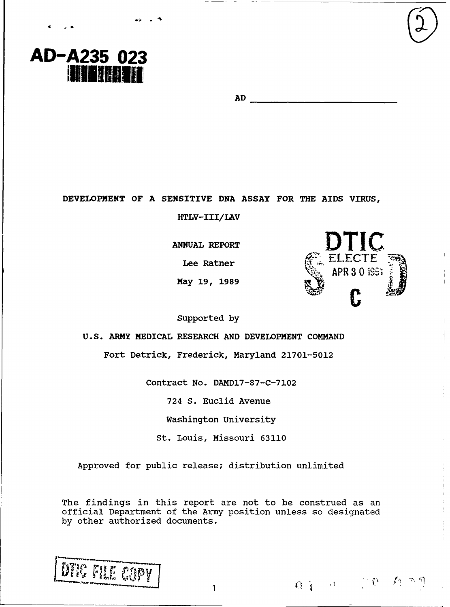**AD**

**DEVELOPMENT OF A SENSITIVE DNA ASSAY FOR THE AIDS VIRUS,**

**HTLV-III/LAV**

**ANNUAL REPORT** 

**May 19, 1989**

Supported **by**

**U.S. ARMY MEDICAL RESEARCH AND DEVELOPMENT COMMAND**

Fort Detrick, Frederick, Maryland **21701-5012**

Contract No. **DAMD7-87-C-7102**

724 S. Euclid Avenue

Washington University

St. Louis, Missouri 63110

Approved for public release; distribution unlimited

The findings in this report are not to be construed as an official Department of the Army position unless so designated by other authorized documents.



**AD-A235 023**<br>**INIBINITI** 



 $0.1$   $0.1$   $0.0$   $0.00$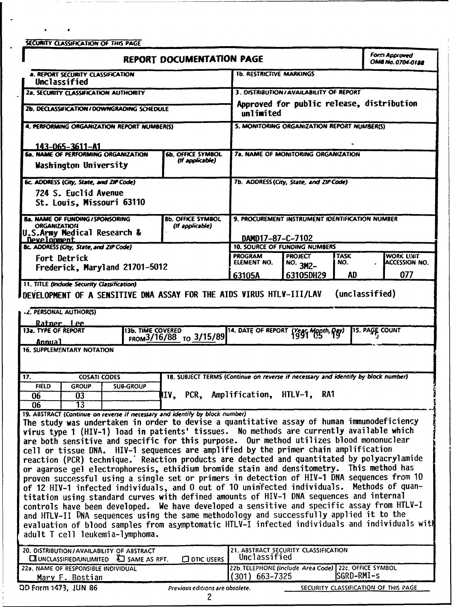**SECURITY CLASSIFICATION OF THIS PAGE IREPORT DOCUMENTATION PAGE** *Form Approved Commission CONSING.0704-0122* **a. REPORT SECURITY CLASSIFICATION 1b. RESTRICTIVE MARKINGS** Unclassified **2.. SECURITY CLASSIFICATION AUTH4ORITY 3. DISTRIBUTIONIAVAILASIUITY OF REPORT** Approved for public release, distribution<br>unlimited **2b. DECLASSIFICATION / DOWNGRADING SCHEDULE 4. PERFORMING ORGANIZATION REPORT NUMBER(S)** 5. MONITORING ORGANIZATION REPORT NUMBER(S) **I43-06S-361 1-Al** \_\_\_\_\_\_\_ \_\_\_\_\_\_\_\_\_\_\_\_\_\_\_\_\_\_\_\_\_ **Ga. NAME OF PERFORMING ORGANIZATION**<br>Washington University **6b. OFFICE SYMBOL 7a. NAME OF MONITORING ORGANIZATION** *(If applicable)* **6c. ADDRESS (City, State, and ZIP Code) 7b. ADDRESS (City, State, and ZIP Code)** 724 **S.** Euclid Avenue St- Louis, Missouri **63110 B&. NAME OF FUNDING / SPONSORING <b>88. OFFICE SYMBOL 9. PROCUREMENT INSTRUMENT IDENTIFICATION NUMBER ORGANIZATION If applicable** U.S.Army Medical Research &<br>\_Development\_\_\_\_\_\_\_\_\_\_\_\_ DAM017-87-C-7102 **Sc. ADDRESS (City, State, and ZIP Code) 10. SOURCE OF FUNDING NUMBERS** Fort Detrick<br>Frederick, Maryland 21701-5012<br>63105A 63105DH29 AD 077 **Fort Detrick PROGRAM PROGRAM PROJECT TASK WORK UNIT** \_\_\_\_\_\_\_\_\_\_\_\_\_\_\_\_\_\_\_\_\_\_\_\_\_\_\_\_\_\_63105A **163105DH29 I AD** r **077 11. TITLE (Include Security Classification) DEVELOPMENT OF A SENSITIVE DNA ASSAY FOR THE AIDS VIRUS HTLV-III/LAV (unclassified) 41. PERSONAL. AUTHOR(S) Hatnar I pa** 13a. TYPE OF REPORT 13b. TIME COVERED 14. DATE OF REPORT  $\{\text{Year}, \text{Input}, \text{Day}\}$  15. PAGE COUNT Ainnital **FROM <sup>3</sup> <sup>16</sup> <sup>18</sup> 8 TO 3/15/89** 1 *uIIb1* **16. SUPPLEMENTARY NOTATION 17.** COSATI CODES 18. SUBJECT TERMS *(Continue on reverse if necessary and identify by block number)* $\frac{1}{2}$  **<b>FIELD**  $\int$  GROUP  $\int$  SUB-GROUP **06 03** IV, PCR, Amplification, HTLV-1, RAl **06 d**<br> **119.** *do*<br> **19.** ABSTRACT (Continue on reverse if necessary and identify by block number) The study was undertaken in order to devise a quantitative assay of human immunodeficiency virus type **1** (HIV-1) load in patients' tissues. No methods are currently available which **are** both sensitive and specific for this purpose. Our method utilizes blood mononuclear cell or tissue **DNA.** HIV-1 sequences are amplified **by** the primer chain amplification reaction (PCR) technique.' Reaction products are detected and quantitated **by** polyacrylamide or agarose gel electrophoresis, ethidium bromide stain and densitometry. This method has proven successful using a single set or primers in detection of HIV-1 **DNA** sequences from **10** of 12 HIV-1 infected individuals, and **0** out of **10** uninifected individuals. Methods of quantitation using standard curves with defined amounts of HIV-1 **DNA** sequences and internal controls have been developed. We have developed a sensitive and specific assay from HTLV-I and HTLV-II **DNA** sequences using the same methodology and successfully applied it to the evaluation of blood samples from asymptomatic ITLV-I infected individuals and individuals wit adult T cell leukemia-lymphoma. 20. DISTRIBUTION/AVAILABILITY OF ABSTRACT **1999** 21. ABSTRACT SECURITY CLASSIFICATION<br> **EXAMPLE AT SAME AS RPT CLASS CONTAINED CONTAINERY CLASS** CONTAINING **CONTAINING CX**UNCLASSIFIED/UNLIMITED **L** SAME AS RPT. **C** DTIC USERS 22a. **NAME** OF **RESPONSIBLE INDIVIDUAL 22b. TELEPHONE** (include Area Code) 22c, **OFFICE** SYMBOL **Mary F. Bostian (301)** 663-7325 **ISGRD-RMI-s DD** Form **1473, JUN 86** Previous editions **are** obsolete. SECURITY **CLASSIFICATION** OF **THIS PAGE**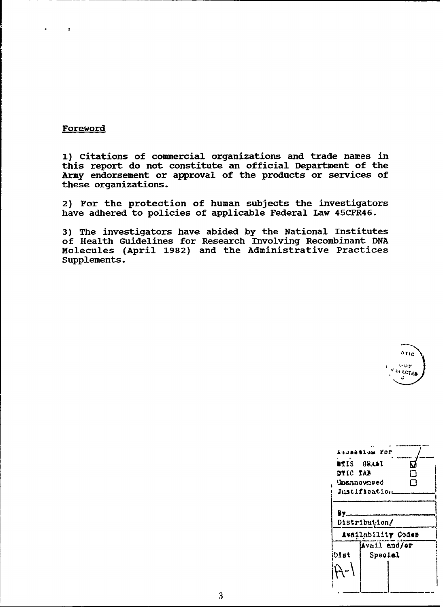# **Foreword**

**1)** Citations of commercial organizations and trade names in this report do not constitute an official Department of the Army endorsement or approval of the products or services of these organizations.

2) For the protection of human subjects the investigators have adhered to policies of applicable Federal Law 45CFR46.

3) The investigators have abided by the National Institutes of Health Guidelines for Research Involving Recombinant DNA Molecules (April 1982) and the Administrative Practices

| $\mathfrak{d}r_{\text{IC}}$ |
|-----------------------------|
| موسلادارا                   |
| If SI ECTED                 |
|                             |

| ITIS<br>DTIC TAB<br>Unannowneed | inusialum for<br><b>GRAAI</b><br>Justification | N.<br>ר |  |  |
|---------------------------------|------------------------------------------------|---------|--|--|
| B٦<br>Distribution/             |                                                |         |  |  |
| Availability Codes              |                                                |         |  |  |
| Avail and/er                    |                                                |         |  |  |
| Dist                            | Special                                        |         |  |  |
|                                 |                                                |         |  |  |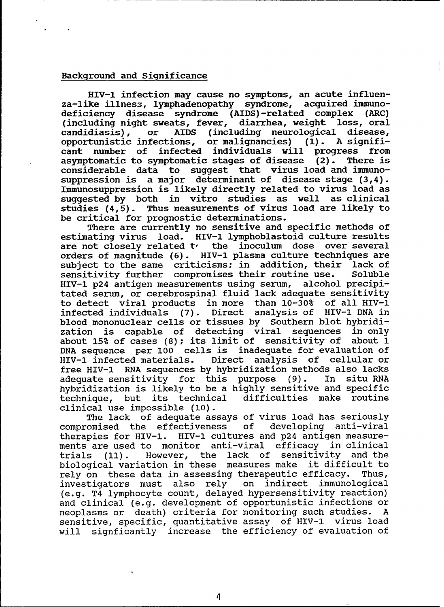# Background and Significance

HIV-l infection may cause no symptoms, an acute influenza-like illness, lymphadenopathy syndrome, acquired immunodeficiency disease syndrome (AIDS)-related complex (ARC) (including night sweats, fever, diarrhea, weight loss, oral candidiasis). or AIDS (including neurological disease, or AIDS (including neurological disease, opportunistic infections, or malignancies) **(1).** A significant number of infected individuals will progress from asymptomatic to symptomatic stages of disease (2). There is considerable data to suggest that virus load and immunosuppression is a major determinant of disease stage (3,4). Immunosuppression is likely directly related to virus load as suggested by both in vitro studies as well as clinical studies (4,5). Thus measurements of virus load are likely to be critical for prognostic determinations.

There are currently no sensitive and specific methods of estimating virus load. HIV-I lymphoblastoid culture results are not closely related **t,** the inoculum dose over several orders of magnitude (6). HIV-I plasma culture techniques are subject to the same criticisms; in addition, their lack of<br>sensitivity further compromises their coutine use. Soluble sensitivity further compromises their routine use. Soluble<br>HIV-1 p24 antigen measurements using serum, alcohol precipi-HIV-1 p24 antigen measurements using serum, tated serum, or cerebrospinal fluid lack adequate sensitivity to detect viral products in more than 10-30% of all HIV-I infected individuals (7). Direct analysis of HIV-l DNA in blood mononuclear cells or tissues by Southern blot hybridization is capable of detecting viral sequences in only about 15% of cases (8); its limit of sensitivity of about 1 DNA sequence per **100** cells is inadequate for evaluation of HIV-l infected materials. Direct analysis of cellular or free HIV-1 RNA sequences by hybridization methods also lacks<br>adequate sensitivity for this purpose (9). In situ RNA adequate sensitivity for this purpose  $(9)$ . hybridization is likely to be a highly sensitive and specific technique, but its technical difficulties make routine clinical use impossible (10).

The lack of adequate assays of virus load has seriously compromised the effectiveness of developing anti-viral therapies for HIV-l. HIV-l cultures and p24 antigen measurements are used to monitor anti-viral efficacy in clinical trials **(11).** However, the lack of sensitivity and the biological variation in these measures make it difficult to rely on these data in assessing therapeutic efficacy. Thus, investigators must also rely on indirect immunological (e.g. T4 lymphocyte count, delayed hypersensitivity reaction) and clinical (e.g. development of opportunistic infections or neoplasms or death) criteria for monitoring such studies. A sensitive, specific, quantitative assay of HIV-I virus load will signficantly increase the efficiency of evaluation of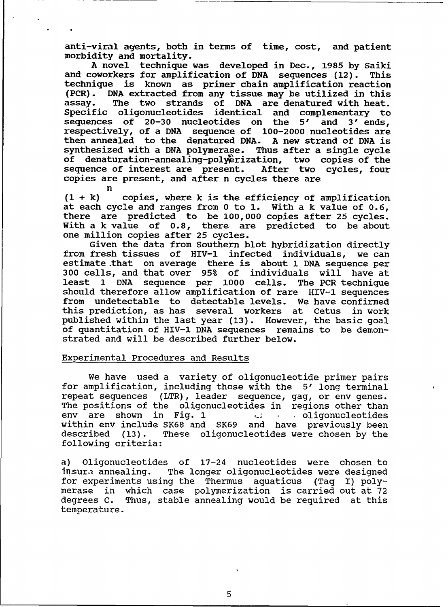anti-viral agents, both in terms of time, cost, and patient morbidity and mortality.

A novel technique was developed in Dec., 1985 by Saiki and coworkers for amplification of DNA sequences (12). This technique is known as primer chain amplification reaction (PCR). DNA extracted from any tissue may be utilized in this assay. The two strands of DNA are denatured with heat. Specific oligonucleotides identical and complementary to sequences of 20-30 nucleotides on the 5' and 3' ends, respectively, of a DNA sequence of 100-2000 nucleotides are then annealed to the denatured DNA. A new strand of DNA is synthesized with a DNA polymerase. Thus after a single cycle of denaturation-annealing-polyetization, two copies of the sequence of interest are present. After two cycles, four sequence of interest are present. copies are present, and after n cycles there are

n **(I** + k) copies, where k is the efficiency of amplification at each cycle and ranges from 0 to **1.** With a k value of 0.6, there are predicted to be 100,000 copies after 25 cycles. With a k value of 0.8, there are predicted to be about one million copies after 25 cycles.

Given the data from Southern blot hybridization directly from fresh tissues of HIV-l infected individuals, we can estimate that on average there is about 1 DNA sequence per 300 cells, and that over 95% of individuals will have at least 1 DNA sequence per 1000 cells. The PCR technique should therefore allow amplification of rare HIV-l sequences from undetectable to detectable levels. We have confirmed this prediction, as has several workers at Cetus in work published within the last year (13). However, the basic goal of quantitation of HIV-l DNA sequences remains to be demonstrated and will be described further below.

### Experimental Procedures and Results

We have used a variety of oligonucleotide primer pairs for amplification, including those with the 5' long terminal repeat sequences (LTR), leader sequence, gag, or env genes. The positions of the oligonucleotides in regions other than env are shown in Fig. 1 **'\_;** oligonucleotides within env include SK68 and SK69 and have previously been described (13). These oligonucleotides were chosen by the following criteria:

a) Oligonucleotides of 17-24 nucleotides were chosen to insure annealing. The longer oligonucleotides were designed for experiments using the Thermus aquaticus (Taq I) polymerase in which case polymerization is carried out at 72 degrees C. Thus, stable annealing would be required at this temperature.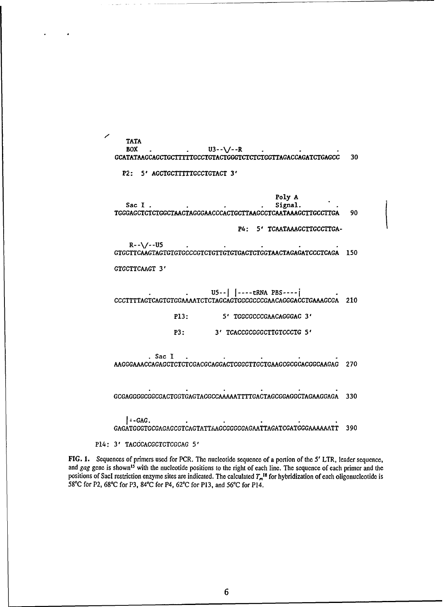**TATA**  $U3 - \sqrt{-R}$ **BOX** . . **GCATATAAGCAGGTGC'rTTGCCTGTACTGGGTCTCTTGGTTAGACAGATCTGAGCC 30**

P2: **5' AGCTGCTTTTTGCCTGTACT 3'**

Poly **A** Sac I . The contract of the signal. **TGGGAGCTCTCTGGCTAACTAGGGAACCCACTGCTTAAGCCTCAATMAAGCTTGCCTTGA 90** P4: **5' TCAATAMGCTTGCCTTGA-** $R - -\sqrt{-}U5$ **GTGCTTCAAGTAGTGTGTGCCCGTCTGTTGTGTGACTCTGGTAACTAGAGATCCCTCAGA 150 GTGCTTCAAGT 3'** \* . **U5-1J I----** tRNA **PBS----j CCCTTTTAGTCAGTGTGGAAAATCTCTAGCAGTGGCGCCCGAACAGGGACCTGAAAGCGA** 210 P13: 5' TGGCGCCCGAACAGGGAC 3' P3: **3' TCACCGCGGGCTTGTCCCTG 5'** .Sac **I** . **AAGGGAAACCAGAGCTCTCTCGACGCAGGACTCGGCTTGCTGAAGCGCGCACGGCAAGAG 270**

**GCGAGGGGCGGCGACTGGTGAGTACGCCAAAAATTTTGACTAGCGGAGGCTAGAAGGAGA 330**

**-GAG.. GAGATGGGTGCGAGAGCGTCAGTATTAACCGGGGGAGAATTAGATCGATGGGAAAAAATT 390**

P14: 3' TACCCACGCTCTCGCAG 5'

**FIG. 1.** Sequences of primers used for PCR. The nuclcotide sequence of a portion of the *5'* LTR, leader sequence, and gag gene is shown<sup>15</sup> with the nucleotide positions to the right of each line. The sequence of each primer and the positions of SacI restriction enzyme sites are indicated. The calculated  $T_m$ <sup>18</sup> for hybridization of each oligonucleotide is **58'C** for P2, **68\*C** for P3, 84'C for P4, **62\*C** for P13, and *560C* for P14.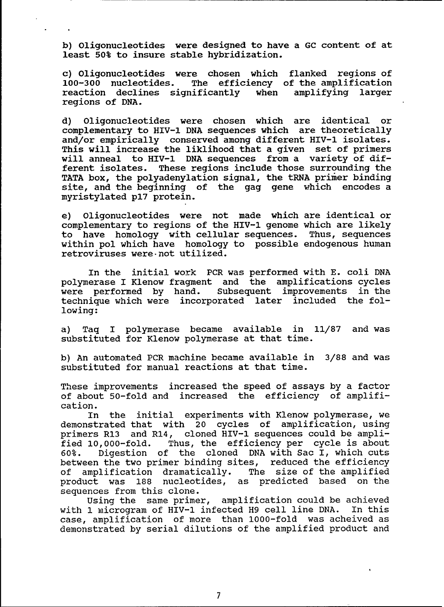b) Oligonucleotides were designed to have a GC content of at least 50% to insure stable hybridization.

c) Oligonucleotides were chosen which flanked regions of 100-300 nucleotides. The efficiency of the amplification reaction declines significantly when amplifying larger regions of DNA.

d) Oligonucleotides were chosen which are identical or complementary to HIV-l DNA sequences which are theoretically and/or empirically conserved among different HIV-l isolates. This will increase the liklihood that a given set of primers will anneal to HIV-I DNA sequences from a variety of different isolates. These regions include those surrounding the TATA box, the polyadenylation signal, the tRNA primer binding site, and the beginning of the gag gene which encodes a myristylated p17 protein.

e) Oligonucleotides were not made which are identical or complementary to regions of the HIV-l genome which are likely to have homology with cellular sequences. Thus, sequences within pol which have homology to possible endogenous human retroviruses were-not utilized.

In the initial work PCR was performed with E. coli DNA polymerase I Klenow fragment and the amplifications cycles<br>were performed by hand. Subsequent improvements in the subsequent improvements in the technique which were incorporated later included the following:

a) Taq I polymerase became available in 11/87 and was substituted for Klenow polymerase at that time.

b) An automated PCR machine became available in 3/88 and was substituted for manual reactions at that time.

These improvements increased the speed of assays by a factor of about 50-fold and increased the efficiency of amplification.

In the initial experiments with Klenow polymerase, we demonstrated that with 20 cycles of amplification, using primers R13 and R14, cloned HIV-l sequences could be amplified 10,000-fold. Thus, the efficiency per cycle is about 60%. Digestion of the cloned DNA with Sac I, which cuts between the two primer binding sites, reduced the efficiency of amplification dramatically. The size of the amplified product was 188 nucleotides, as predicted based on the sequences from this clone.

Using the same primer, amplification could be achieved with 1 microgram of HIV-I infected H9 cell line DNA. In this case, amplification of more than 1000-fold was acheived as demonstrated by serial dilutions of the amplified product and

**7**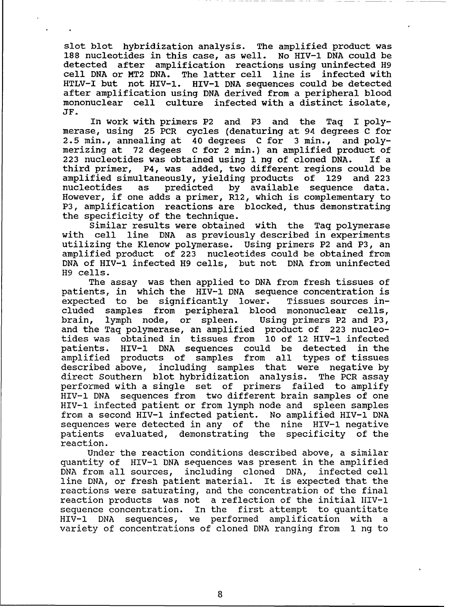slot blot hybridization analysis. The amplified product was 188 nucleotides in this case, as well. No HIV-I DNA could be detected after amplification reactions using uninfected H9 cell DNA or MT2 DNA. The latter cell line is infected with HTLV-I but not HIV-I. HIV-I DNA sequences could be detected after amplification using DNA derived from a peripheral blood mononuclear cell culture infected with a distinct isolate, JF.

In work with primers P2 and P3 and the Taq I polymerase, using 25 PCR cycles (denaturing at 94 degrees C for 2.5 min., annealing at 40 degrees C for 3 min., and polymerizing at 72 degees C for 2 min.) an amplified product of<br>223 nucleotides was obtained using 1 ng of cloned DNA. If a  $223$  nucleotides was obtained using 1 ng of cloned DNA. third primer, P4, was added, two different regions could be amplified simultaneously, yielding products of 129 and 223 nucleotides as predicted by available sequence data. However, if one adds a primer, R12, which is complementary to P3, amplification reactions are blocked, thus demonstrating the specificity of the technique.

Similar results were obtained with the Taq polymerase with cell line DNA as previously described in experiments utilizing the Klenow polymerase. Using primers P2 and P3, an amplified product of 223 nucleotides could be obtained from DNA of HIV-l infected H9 cells, but not DNA from uninfected H9 cells.

The assay was then applied to DNA from fresh tissues of patients, in which the HIV-I DNA sequence concentration is expected to be significantly lower. Tissues sources included samples from peripheral blood mononuclear cells, brain, lymph node, or spleen. Using primers P2 and P3, and the Taq polymerase, an amplified product of 223 nucleotides was obtained in tissues from **10** of 12 HIV-I infected patients. HIV-l DNA sequences could be detected in the amplified products of samples from all types of tissues described above, including samples that were negative by direct Southern blot hybridization analysis. The PCR assay performed with a single set of primers failed to amplify HIV-I DNA sequences from two different brain samples of one HIV-1 infected patient or from lymph node and spleen samples from a second HIV-I infected patient. No amplified HIV-I DNA sequences were detected in any of the nine HIV-l negative patients evaluated, demonstrating the specificity of the reaction.

Under the reaction conditions described above, a similar quantity of HIV-l DNA sequences was present in the amplified DNA from all sources, including cloned DNA, infected cell line DNA, or fresh patient material. It is expected that the reactions were saturating, and the concentration of the final reaction products was not a reflection of the initial IIIV-l sequence concentration. In the first attempt to quantitate HIV-l DNA sequences, we performed amplification with a variety of concentrations of cloned DNA ranging from 1 ng to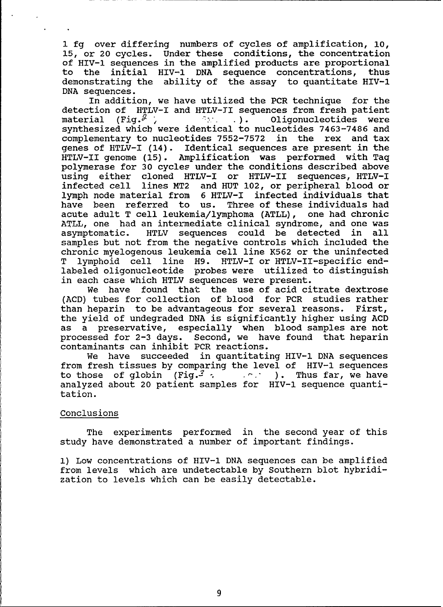1 fg over differing numbers of cycles of amplification, **10,** 15, or 20 cycles. Under these conditions, the concentration of HIV-l sequences in the amplified products are proportional to the initial HIV-I DNA sequence concentrations, thus demonstrating the ability of the assay to quantitate HIV-I DNA sequences.

In addition, we have utilized the PCR technique for the detection of HTLV-I and HTLV-TI sequences from fresh patient material (Fig.<sup> $\emptyset$ </sup>) *71 <b>b 1*). Oligonucleotides were synthesized which were identical to nucleotides 7463-7486 and complementary to nucleotides 7552-7572 in the rex and tax genes of HTLV-I (14). Identical sequences are present in the HTLV-II genome (15). Amplification was performed with Taq polymerase for 30 cycles under the conditions described above using either cloned HTLV-I or HTLV-II sequences, HTLV-I infected cell lines MT2 and HUT 102, or peripheral blood or lymph node material from 6 HTLV-I infected individuals that have been referred to us. Three of these individuals had acute adult T cell leukemia/lymphoma (ATLL), one had chronic ATLL, one had an intermediate clinical syndrome, and one was asymptomatic. HTLV sequences could be detected in all samples but not from the negative controls which included the chronic myelogenous leukemia cell line K562 or the uninfected T lymphoid cell line **H9.** HTLV-I or HTLV-II-specific endlabeled oligonucleotide probes were utilized to distinguish in each case which HTLV sequences were present.

We have found that the use of acid citrate dextrose (ACD) tubes for collection of blood for PCR studies rather than heparin to be advantageous for several reasons. First, the yield of undegraded DNA is significantly higher using ACD as a preservative, especially when blood samples are not processed for 2-3 days. Second, we have found that heparin contaminants can inhibit PCR reactions.

We have succeeded in quantitating HIV-1 DNA sequences from fresh tissues by comparing the level of HIV-l sequences to those of globin (Fig.<sup>2</sup>,  $\cdots$ ). Thus far, we have analyzed about 20 patient samples for HIV-l sequence quantitation.

# Conclusions

The experiments performed in the second year of this study have demonstrated a number of important findings.

**1)** Low concentrations of HIV-l DNA sequences can be amplified from levels which are undetectable by Southern blot hybridization to levels which can be easily detectable.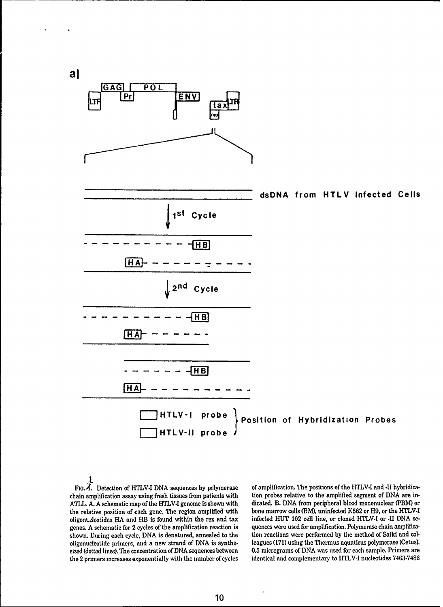**a]**



FIG. 4. Detection of HTLV.I **DNA** sequences **by** polymerase of amplification. The positions of the HTLV.I and **.11** hybridiza. chain amplification assay using fresh tissues from patients with tion probes relative to the amplified segment of **DNA** are in-ATLL. **A. A** schematic map of the HTLV-I genome is shown with dicated. B. **DNA** from peripheral blood mononuclear **(PBM)** or the relative position of each gene. The region amplified with oligon Leotides HA and HB is found within the rex and tax genes. **A** schematic for 2 cycles of the amplification reaction is quences were used for amplification. Polymerase chain amplificashown. During each cycle, **DNA** is denatured, annealed to the tion reactions were performed **by** the method of Saiki and cololigonucleotide primers, and a new strand of **DNA** is synthe- leagues **(171)** using the Thermus aquaticus polymerase (Cetus). sized (dotted lines). The concentration of **DNA** sequences between **0.5** micrograms of **DNA** was used for each sample. Primers are

infected HUT 102 cell line, or cloned HTLV-I or <sup>-II</sup> DNA sethe 2 primers increases exponentially with the number of cycles identical and complementary to HTLV-I nucleotides **7463.7486**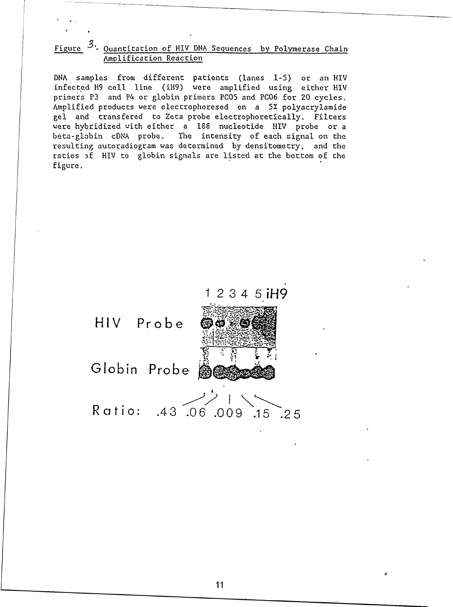# Figure  $3$ . Quantitation of HIV DNA Sequences by Polymerase Chain Amolification Reaction

DNA samples from different patients (lanes 1-5) or an HIV infected H9 cell line (iM9) were amplified using either HIV primers P3 and P4 or globin primers PC05 and PC06 for 20 cycles. Amplified products were electrophoresed on a 5X polyacrylamide gel and transfered to Zeta probe electrophoretically. Filters were hybridized with either a 188 nucleotide HIV probe or a beta-globin cDNA probe. The intensity of each signal on the resulting autoradiogram was determined by densitometry, and the ratios **-f** HIV to globin signals are listed at the bottom of the figure.

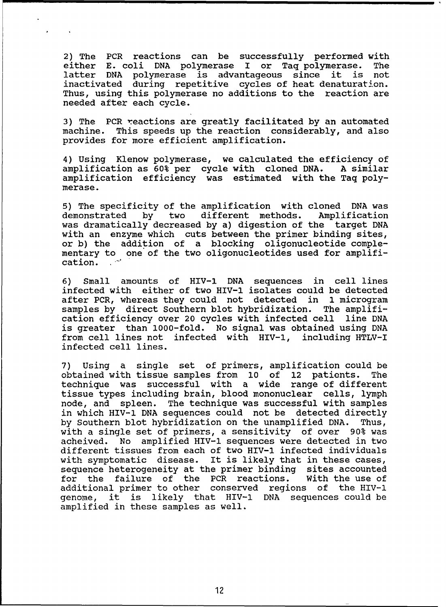2) The PCR reactions can be successfully performed with either E. coli DNA polymerase I or Taq polymerase. The latter DNA polymerase is advantageous since it is not inactivated during repetitive cycles of heat denaturation. Thus, using this polymerase no additions to the reaction are needed after each cycle.

3) The PCR reactions are greatly facilitated by an automated machine. This speeds up the reaction considerably, and also provides for more efficient amplification.

4) Using Klenow polymerase, we calculated the efficiency of amplification as 60% per cycle with cloned DNA. A similar amplification efficiency was estimated with the Taq polymerase.

5) The specificity of the amplification with cloned DNA was demonstrated by two different methods. Amplification was dramatically decreased by a) digestion of the target DNA with an enzyme which cuts between the primer binding sites, or b) the addition of a blocking oligonucleotide complementary to one of the two oligonucleotides used for amplification.

6) Small amounts of HIV-l DNA sequences in cell lines infected with either of two HIV-l isolates could be detected after PCR, whereas they could not detected in 1 microgram samples by direct Southern blot hybridization. The amplification efficiency over 20 cycles with infected cell line DNA is greater than 1000-fold. No signal was obtained using DNA from cell lines not infected with HIV-l, including HTLV-I infected cell lines.

7) Using a single set of primers, amplification could be obtained with tissue samples from **10** of 12 patients. The technique was successful with a wide range of different tissue types including brain, blood mononuclear cells, lymph node, and spleen. The technique was successful with samples in which HIV-I DNA sequences could not be detected directly by Southern blot hybridization on the unamplified DNA. Thus, with a single set of primers, a sensitivity of over 90% was acheived. No amplified HIV-l sequences were detected in two different tissues from each of two HIV-l infected individuals with symptomatic disease. It is likely that in these cases, sequence heterogeneity at the primer binding sites accounted for the failure of the PCR reactions. With the use of additional primer to other conserved regions of the HIV-l genome, it is likely that HIV-l DNA sequences could be amplified in these samples as well.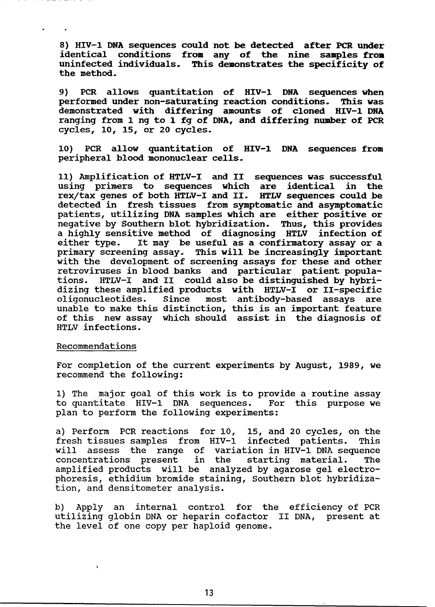**8)** HIV-l **DNA** sequences could not be detected after PCR under identical conditions from any of the nine samples from uninfected individuals. This demonstrates the specificity of the method.

9) PCR allows quantitation of HIV-1 **DNA** sequences when performed under non-saturating reaction conditions. This was demonstrated with differing amounts of cloned HIV-l **DNA** ranging from 1 ng to 1 fg of **DNA,** and differing number of PCR cycles, **10,** 15, or 20 cycles.

**10)** PCR allow quantitation of HIV-l **DNA** sequences from peripheral blood mononuclear cells.

**11)** Amplification of HTLV-I and II sequences was successful using primers to sequences which are identical in the rex/tax genes of both HTLV-I and II. HTLV sequences could be detected in fresh tissues from symptomatic and asymptomatic patients, utilizing DNA samples which are either positive or negative by Southern blot hybridization. Thus, this provides a highly sensitive method of diagnosing HTLV infection of either type. It may be useful as a confirmatory assay or a primary screening assay. This will be increasingly important with the development of screening assays for these and other retroviruses in blood banks and particular patient populations. HTLV-I and II could also be distinguished by hybridizing these amplified products with HTLV-I or II-specific oligonucleotides. Since most antibody-based assays are unable to make this distinction, this is an important feature of this new assay which should assist in the diagnosis of HTLV infections.

### Recommendations

 $\lambda$ 

 $\bullet$ 

For completion of the current experiments by August, 1989, we recommend the following:

**1)** The major goal of this work is to provide a routine assay to quantitate HIV-l DNA sequences. For this purpose we plan to perform the following experiments:

a) Perform PCR reactions for **10,** 15, and 20 cycles, on the fresh tissues samples from HIV-I infected patients. This will assess the range of variation in HIV-l DNA sequence concentrations present in the starting material. The amplified products will be analyzed by agarose gel electrophoresis, ethidium bromide staining, Southern blot hybridization, and densitometer analysis.

b) Apply an internal control for the efficiency of PCR utilizing globin DNA or heparin cofactor II DNA, present at the level of one copy per haploid genome.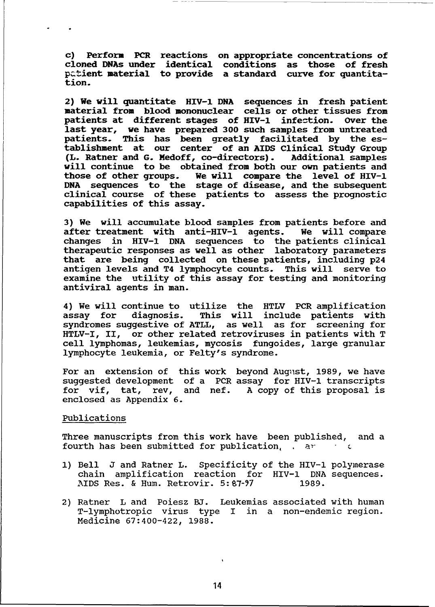c) Perform PCR reactions on appropriate concentrations of cloned DNAs under identical conditions as those of fresh patient material to provide a standard curve for quantitation.

2) We will quantitate HIV-l **DNA** sequences in fresh patient material from blood mononuclear cells or other tissues from patients at different stages of HIV-l infection. Over the last year, we have prepared **300** such samples from untreated patients. This has been greatly facilitated **by** the establishment at our center of an AIDS Clinical Study Group (L. Ratner and G. Medoff, co-directors). will continue to be obtained from both our own patients and those of other groups. We will compare the level of HIV-l **DNA** sequences to the stage of disease, and the subsequent clinical course of these patients to assess the prognostic capabilities of this assay.

3) We will accumulate blood samples from patients before and after treatment with anti-HIV-I agents. We will compare changes in HIV-l DNA sequences to the patients clinical therapeutic responses as well as other laboratory parameters that are being collected on these patients, including p24 antigen levels and T4 lymphocyte counts. This will serve to examine the utility of this assay for testing and monitoring antiviral agents in man.

4) We will continue to utilize the HTLV PCR amplification assay for diagnosis. This will include patients with syndromes suggestive of ATLL, as well as for screening for HTLV-I, II, or other related retroviruses in patients with T cell lymphomas, leukemias, mycosis fungoides, large granular lymphocyte leukemia, or Felty's syndrome.

For an extension of this work beyond August, 1989, we have suggested development of a PCR assay for HIV-l transcripts for vif, tat, rev, and nef. A copy of this proposal is enclosed as Appendix 6.

## Publications

Three manuscripts from this work have been published, and a fourth has been submitted for publication, a<sup>r</sup>

- **1)** Bell J and Ratner L. Specificity of the HIV-l polymerase chain amplification reaction for HIV-l DNA sequences. AIDS Res. & Hum. Retrovir. 5:87-97 1989.
- 2) Ratner L and Poiesz **BJ.** Leukemias associated with human T-lymphotropic virus type I in a non-endemic region. Medicine 67:400-422, 1988.